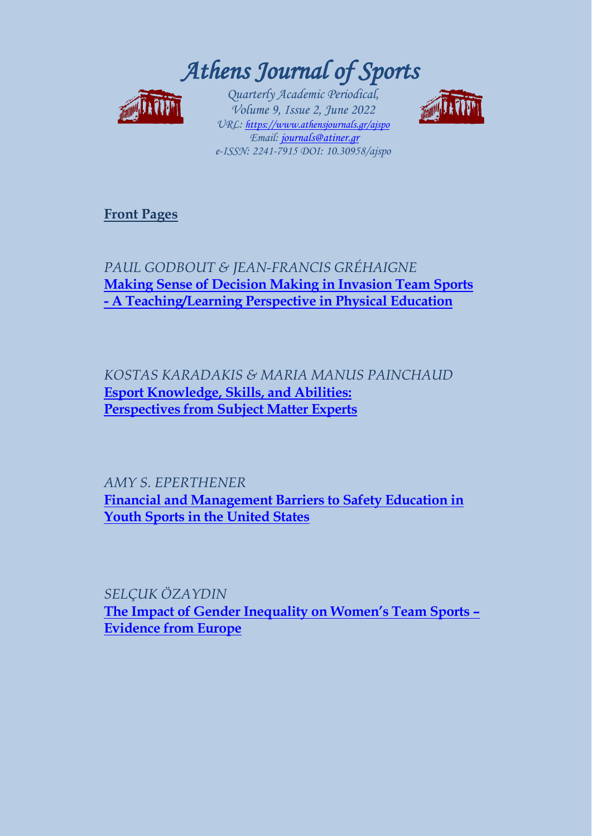*Athens Journal of Sports*



*Quarterly Academic Periodical, Volume 9, Issue 2, June 2022 URL:<https://www.athensjournals.gr/ajspo> Email[: journals@atiner.gr](mailto:journals@atiner.gr) e-ISSN: 2241-7915 DOI: 10.30958/ajspo* 



**[Front Pages](https://www.athensjournals.gr/sports/Cover-2022-02SPO.pdf)**

*PAUL GODBOUT & JEAN-FRANCIS GRÉHAIGNE*  **[Making Sense of Decision Making in Invasion Team Sports](https://www.athensjournals.gr/sports/2022-9-2-1-Godbout.pdf)  - [A Teaching/Learning Perspective in Physical Education](https://www.athensjournals.gr/sports/2022-9-2-1-Godbout.pdf)**

*KOSTAS KARADAKIS & MARIA MANUS PAINCHAUD*  **[Esport Knowledge, Skills, and Abilities:](https://www.athensjournals.gr/sports/2022-9-2-2-Karadakis.pdf)  [Perspectives from Subject Matter Experts](https://www.athensjournals.gr/sports/2022-9-2-2-Karadakis.pdf)**

*AMY S. EPERTHENER* **[Financial and Management Barriers to Safety Education in](https://www.athensjournals.gr/sports/2022-9-2-3-Eperthener.pdf)  [Youth Sports in the United States](https://www.athensjournals.gr/sports/2022-9-2-3-Eperthener.pdf)**

*SELÇUK ÖZAYDIN* **[The Impact of Gender Inequality on Women's Team Sports –](https://www.athensjournals.gr/sports/2022-9-2-4-Ozaydin.pdf) [Evidence from Europe](https://www.athensjournals.gr/sports/2022-9-2-4-Ozaydin.pdf)**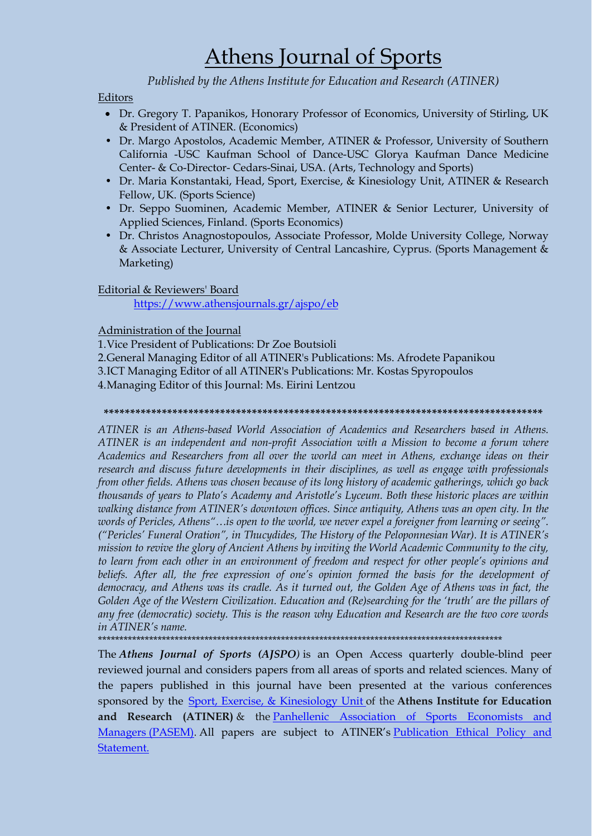## Athens Journal of Sports

### *Published by the Athens Institute for Education and Research (ATINER)*

#### Editors

- Dr. Gregory T. Papanikos, Honorary Professor of Economics, University of Stirling, UK & President of ATINER. (Economics)
- Dr. Margo Apostolos, Academic Member, ATINER & Professor, University of Southern California -USC Kaufman School of Dance-USC Glorya Kaufman Dance Medicine Center- & Co-Director- Cedars-Sinai, USA. (Arts, Technology and Sports)
- Dr. Maria Konstantaki, Head, Sport, Exercise, & Kinesiology Unit, ATINER & Research Fellow, UK. (Sports Science)
- Dr. Seppo Suominen, Academic Member, ATINER & Senior Lecturer, University of Applied Sciences, Finland. (Sports Economics)
- Dr. Christos Anagnostopoulos, Associate Professor, Molde University College, Norway & Associate Lecturer, University of Central Lancashire, Cyprus. (Sports Management & Marketing)

#### Editorial & Reviewers' Board

<https://www.athensjournals.gr/ajspo/eb>

#### Administration of the Journal

1.Vice President of Publications: Dr Zoe Boutsioli 2.General Managing Editor of all ATINER's Publications: Ms. Afrodete Papanikou 3.ICT Managing Editor of all ATINER's Publications: Mr. Kostas Spyropoulos 4.Managing Editor of this Journal: Ms. Eirini Lentzou

#### **\*\*\*\*\*\*\*\*\*\*\*\*\*\*\*\*\*\*\*\*\*\*\*\*\*\*\*\*\*\*\*\*\*\*\*\*\*\*\*\*\*\*\*\*\*\*\*\*\*\*\*\*\*\*\*\*\*\*\*\*\*\*\*\*\*\*\*\*\*\*\*\*\*\*\*\*\*\*\*\*\*\*\***

*ATINER is an Athens-based World Association of Academics and Researchers based in Athens. ATINER is an independent and non-profit Association with a Mission to become a forum where Academics and Researchers from all over the world can meet in Athens, exchange ideas on their research and discuss future developments in their disciplines, as well as engage with professionals from other fields. Athens was chosen because of its long history of academic gatherings, which go back thousands of years to Plato's Academy and Aristotle's Lyceum. Both these historic places are within walking distance from ATINER's downtown offices. Since antiquity, Athens was an open city. In the words of Pericles, Athens"…is open to the world, we never expel a foreigner from learning or seeing". ("Pericles' Funeral Oration", in Thucydides, The History of the Peloponnesian War). It is ATINER's mission to revive the glory of Ancient Athens by inviting the World Academic Community to the city, to learn from each other in an environment of freedom and respect for other people's opinions and*  beliefs. After all, the free expression of one's opinion formed the basis for the development of *democracy, and Athens was its cradle. As it turned out, the Golden Age of Athens was in fact, the Golden Age of the Western Civilization. Education and (Re)searching for the 'truth' are the pillars of any free (democratic) society. This is the reason why Education and Research are the two core words in ATINER's name.*

\*\*\*\*\*\*\*\*\*\*\*\*\*\*\*\*\*\*\*\*\*\*\*\*\*\*\*\*\*\*\*\*\*\*\*\*\*\*\*\*\*\*\*\*\*\*\*\*\*\*\*\*\*\*\*\*\*\*\*\*\*\*\*\*\*\*\*\*\*\*\*\*\*\*\*\*\*\*\*\*\*\*\*\*\*\*\*\*\*\*\*\*\*\*\*

The *Athens Journal of Sports (AJSPO)* is an Open Access quarterly double-blind peer reviewed journal and considers papers from all areas of sports and related sciences. Many of the papers published in this journal have been presented at the various conferences sponsored by the [Sport, Exercise, & Kinesiology Unit](http://www.atiner.gr/docs/SPORTS_UNIT.htm) of the **Athens Institute for Education and Research (ATINER)** & the [Panhellenic Association of Sports Economists and](http://www.psaos.gr/)  [Managers](http://www.psaos.gr/) (PASEM). All papers are subject to ATINER's Publication Ethical Policy and [Statement.](https://www.athensjournals.gr/ethics.pdf)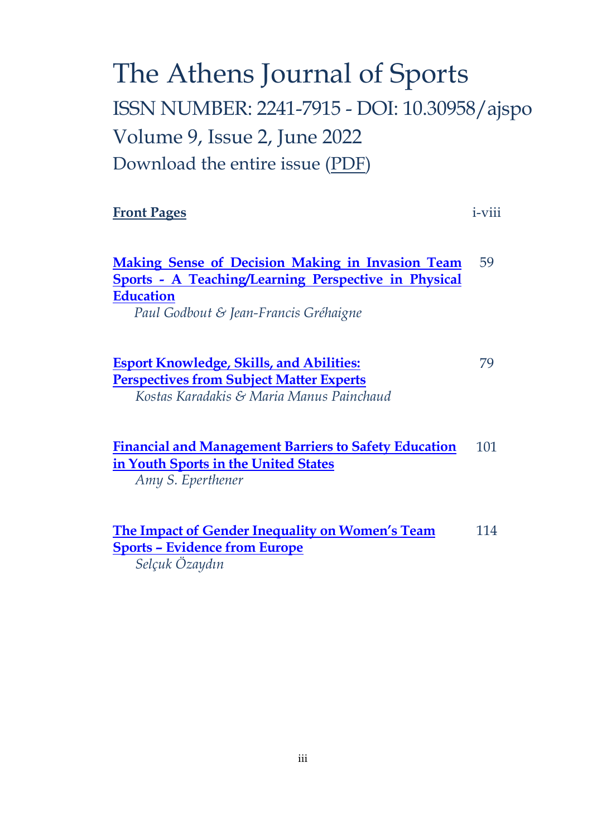# The Athens Journal of Sports ISSN NUMBER: 2241-7915 - DOI: 10.30958/ajspo Volume 9, Issue 2, June 2022 Download the entire issue [\(PDF\)](https://www.athensjournals.gr/sports/2022-02SPO.pdf)

### **[Front Pages](https://www.athensjournals.gr/sports/Cover-2022-02SPO.pdf)** i-viii

**[Making Sense of Decision Making in Invasion Team](https://www.athensjournals.gr/sports/2022-9-2-1-Godbout.pdf)  Sports - [A Teaching/Learning Perspective in Physical](https://www.athensjournals.gr/sports/2022-9-2-1-Godbout.pdf)  [Education](https://www.athensjournals.gr/sports/2022-9-2-1-Godbout.pdf)** *Paul Godbout & Jean-Francis Gréhaigne* 59

**[Esport Knowledge, Skills, and Abilities:](https://www.athensjournals.gr/sports/2022-9-2-2-Karadakis.pdf)  [Perspectives from Subject Matter Experts](https://www.athensjournals.gr/sports/2022-9-2-2-Karadakis.pdf)** *Kostas Karadakis & Maria Manus Painchaud* 79

#### **[Financial and Management Barriers to Safety Education](https://www.athensjournals.gr/sports/2022-9-2-3-Eperthener.pdf)  [in Youth Sports in the United States](https://www.athensjournals.gr/sports/2022-9-2-3-Eperthener.pdf)** 101

*Amy S. Eperthener*

**[The Impact of Gender Inequality on Women's Team](https://www.athensjournals.gr/sports/2022-9-2-4-Ozaydin.pdf)  Sports – [Evidence from Europe](https://www.athensjournals.gr/sports/2022-9-2-4-Ozaydin.pdf)** *Selçuk Özaydın* 114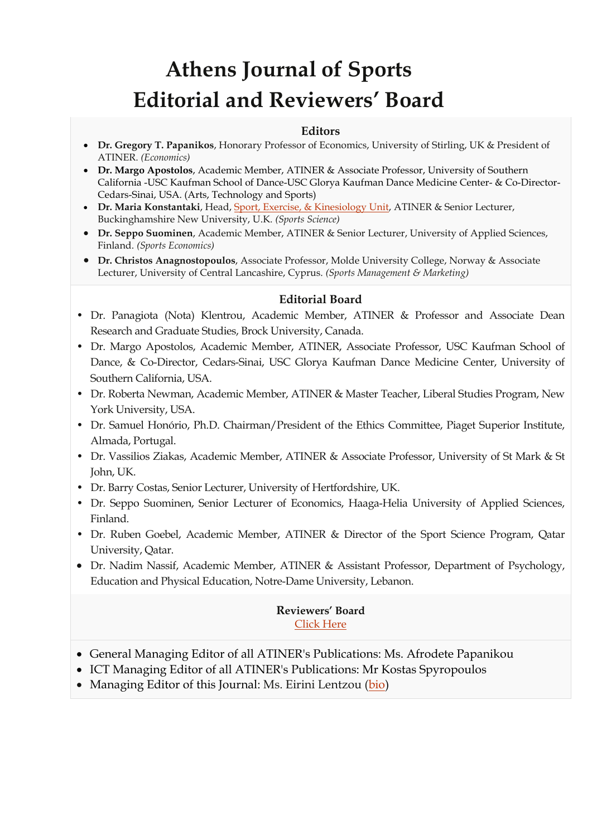# **Athens Journal of Sports Editorial and Reviewers' Board**

### **Editors**

- **Dr. Gregory T. Papanikos**, Honorary Professor of Economics, University of Stirling, UK & President of ATINER. *(Economics)*
- **Dr. Margo Apostolos**, Academic Member, ATINER & Associate Professor, University of Southern California -USC Kaufman School of Dance-USC Glorya Kaufman Dance Medicine Center- & Co-Director-Cedars-Sinai, USA. (Arts, Technology and Sports)
- **Dr. Maria Konstantaki**, Head, [Sport, Exercise, & Kinesiology Unit,](http://www.atiner.gr/SPORTS-UNIT) ATINER & Senior Lecturer, Buckinghamshire New University, U.K. *(Sports Science)*
- **Dr. Seppo Suominen**, Academic Member, ATINER & Senior Lecturer, University of Applied Sciences, Finland. *(Sports Economics)*
- **Dr. Christos Anagnostopoulos**, Associate Professor, Molde University College, Norway & Associate Lecturer, University of Central Lancashire, Cyprus. *(Sports Management & Marketing)*

### **Editorial Board**

- Dr. Panagiota (Nota) Klentrou, Academic Member, ATINER & Professor and Associate Dean Research and Graduate Studies, Brock University, Canada.
- Dr. Margo Apostolos, Academic Member, ATINER, Associate Professor, USC Kaufman School of Dance, & Co-Director, Cedars-Sinai, USC Glorya Kaufman Dance Medicine Center, University of Southern California, USA.
- Dr. Roberta Newman, Academic Member, ATINER & Master Teacher, Liberal Studies Program, New York University, USA.
- Dr. Samuel Honório, Ph.D. Chairman/President of the Ethics Committee, Piaget Superior Institute, Almada, Portugal.
- Dr. Vassilios Ziakas, Academic Member, ATINER & Associate Professor, University of St Mark & St John, UK.
- Dr. Barry Costas, Senior Lecturer, University of Hertfordshire, UK.
- Dr. Seppo Suominen, Senior Lecturer of Economics, Haaga-Helia University of Applied Sciences, Finland.
- Dr. Ruben Goebel, Academic Member, ATINER & Director of the Sport Science Program, Qatar University, Qatar.
- Dr. Nadim Nassif, Academic Member, ATINER & Assistant Professor, Department of Psychology, Education and Physical Education, Notre-Dame University, Lebanon.

### **Reviewers' Board** [Click Here](http://www.athensjournals.gr/ajspo/ajsporb)

- General Managing Editor of all ATINER's Publications: Ms. Afrodete Papanikou
- ICT Managing Editor of all ATINER's Publications: Mr Kostas Spyropoulos
- Managing Editor of this Journal: Ms. Eirini Lentzou [\(bio\)](https://www.athensjournals.gr/el-cv)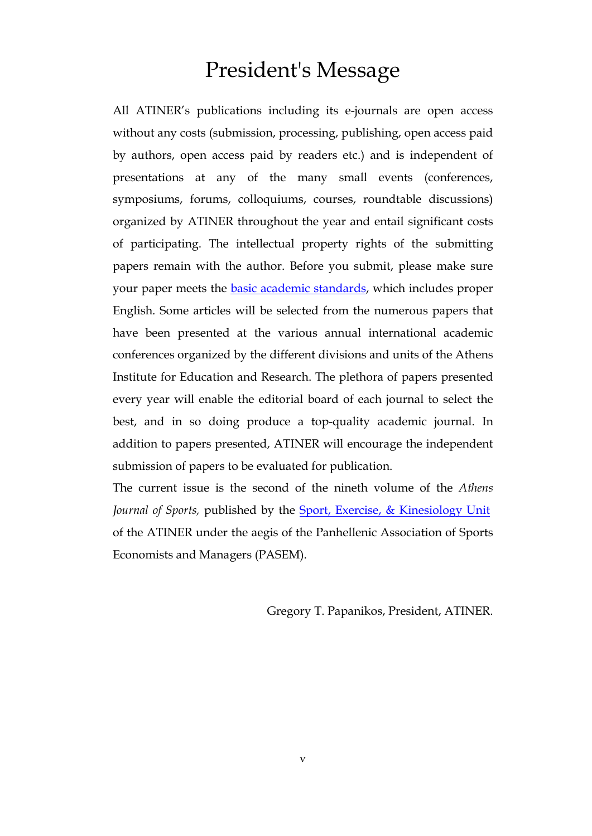### President's Message

All ATINER's publications including its e-journals are open access without any costs (submission, processing, publishing, open access paid by authors, open access paid by readers etc.) and is independent of presentations at any of the many small events (conferences, symposiums, forums, colloquiums, courses, roundtable discussions) organized by ATINER throughout the year and entail significant costs of participating. The intellectual property rights of the submitting papers remain with the author. Before you submit, please make sure your paper meets the **basic academic standards**, which includes proper English. Some articles will be selected from the numerous papers that have been presented at the various annual international academic conferences organized by the different divisions and units of the Athens Institute for Education and Research. The plethora of papers presented every year will enable the editorial board of each journal to select the best, and in so doing produce a top-quality academic journal. In addition to papers presented, ATINER will encourage the independent submission of papers to be evaluated for publication.

The current issue is the second of the nineth volume of the *Athens*  Journal of Sports, published by the **Sport**, Exercise, & Kinesiology Unit of the ATINER under the aegis of the Panhellenic Association of Sports Economists and Managers (PASEM).

Gregory T. Papanikos, President, ATINER.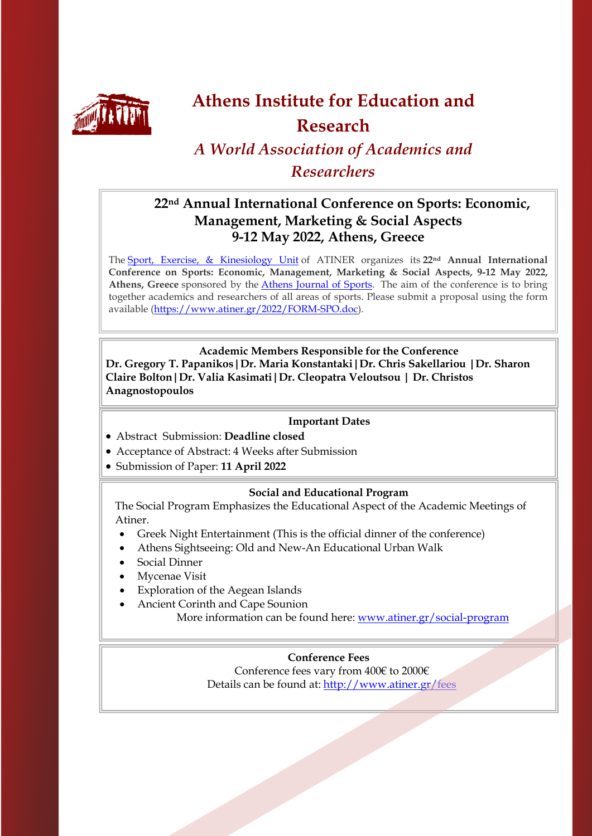

## **Athens Institute for Education and Research**

### *A World Association of Academics and Researchers*

### **22nd Annual International Conference on Sports: Economic, Management, Marketing & Social Aspects 9-12 May 2022, Athens, Greece**

The [Sport, Exercise, & Kinesiology Unit](http://www.atiner.gr/sports-unit) of ATINER organizes its **22nd Annual International Conference on Sports: Economic, Management, Marketing & Social Aspects, 9-12 May 2022,**  Athens, Greece sponsored by the **Athens Journal of Sports**. The aim of the conference is to bring together academics and researchers of all areas of sports. Please submit a proposal using the form available [\(https://www.atiner.gr/2022/FORM-SPO.doc\)](https://www.atiner.gr/2022/FORM-SPO.doc).

### **Academic Members Responsible for the Conference**

**Dr. Gregory T. Papanikos|Dr. Maria Konstantaki|Dr. Chris Sakellariou |Dr. Sharon Claire Bolton|Dr. Valia Kasimati|Dr. Cleopatra Veloutsou | Dr. Christos Anagnostopoulos**

### **Important Dates**

- Abstract Submission: **Deadline closed**
- Acceptance of Abstract: 4 Weeks after Submission
- Submission of Paper: **11 April 2022**

#### **Social and Educational Program**

The Social Program Emphasizes the Educational Aspect of the Academic Meetings of Atiner.

- Greek Night Entertainment (This is the official dinner of the conference)
- Athens Sightseeing: Old and New-An Educational Urban Walk
- Social Dinner
- Mycenae Visit
- Exploration of the Aegean Islands
- Ancient Corinth and Cape Sounion

More information can be found here: [www.atiner.gr/social-program](http://www.atiner.gr/social-program)

### **Conference Fees**

Conference fees vary from 400€ to 2000€ Details can be found at: <http://www.atiner.gr/fees>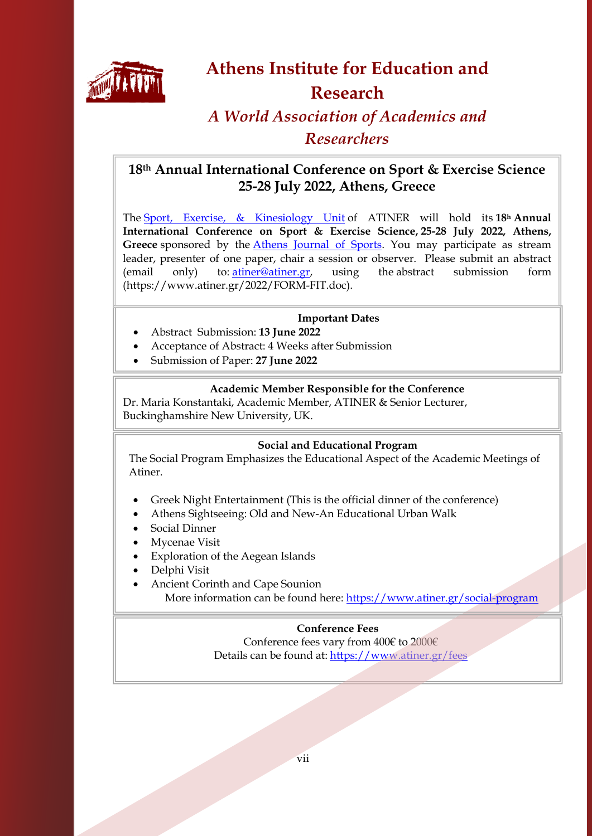

### **Athens Institute for Education and Research**

### *A World Association of Academics and Researchers*

### **18th Annual International Conference on Sport & Exercise Science 25-28 July 2022, Athens, Greece**

The [Sport, Exercise, & Kinesiology Unit](http://www.atiner.gr/SPORTS-UNIT) of ATINER will hold its **18h Annual International Conference on Sport & Exercise Science, 25-28 July 2022, Athens,**  Greece sponsored by the *Athens Journal of Sports*. You may participate as stream leader, presenter of one paper, chair a session or observer. Please submit an abstract (email only) to: [atiner@atiner.gr,](mailto:atiner@atiner.gr) using the abstract submission form (https://www.atiner.gr/2022/FORM-FIT.doc).

### **Important Dates**

- Abstract Submission: **13 June 2022**
- Acceptance of Abstract: 4 Weeks after Submission
- Submission of Paper: **27 June 2022**

### **Academic Member Responsible for the Conference**

Dr. Maria Konstantaki, Academic Member, ATINER & Senior Lecturer, Buckinghamshire New University, UK.

### **Social and Educational Program**

The Social Program Emphasizes the Educational Aspect of the Academic Meetings of Atiner.

- Greek Night Entertainment (This is the official dinner of the conference)
- Athens Sightseeing: Old and New-An Educational Urban Walk
- Social Dinner
- Mycenae Visit
- Exploration of the Aegean Islands
- Delphi Visit
- Ancient Corinth and Cape Sounion More information can be found here:<https://www.atiner.gr/social-program>

### **Conference Fees**

Conference fees vary from 400€ to 2000€ Details can be found at: <https://www.atiner.gr/fees>